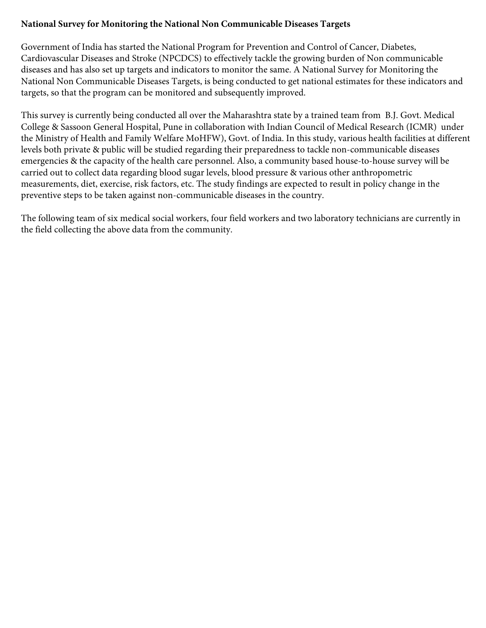## **National Survey for Monitoring the National Non Communicable Diseases Targets**

Government of India has started the National Program for Prevention and Control of Cancer, Diabetes, Cardiovascular Diseases and Stroke (NPCDCS) to effectively tackle the growing burden of Non communicable diseases and has also set up targets and indicators to monitor the same. A National Survey for Monitoring the National Non Communicable Diseases Targets, is being conducted to get national estimates for these indicators and targets, so that the program can be monitored and subsequently improved.

This survey is currently being conducted all over the Maharashtra state by a trained team from B.J. Govt. Medical College & Sassoon General Hospital, Pune in collaboration with Indian Council of Medical Research (ICMR) under the Ministry of Health and Family Welfare MoHFW), Govt. of India. In this study, various health facilities at different levels both private & public will be studied regarding their preparedness to tackle non-communicable diseases emergencies & the capacity of the health care personnel. Also, a community based house-to-house survey will be carried out to collect data regarding blood sugar levels, blood pressure & various other anthropometric measurements, diet, exercise, risk factors, etc. The study findings are expected to result in policy change in the preventive steps to be taken against non-communicable diseases in the country.

The following team of six medical social workers, four field workers and two laboratory technicians are currently in the field collecting the above data from the community.